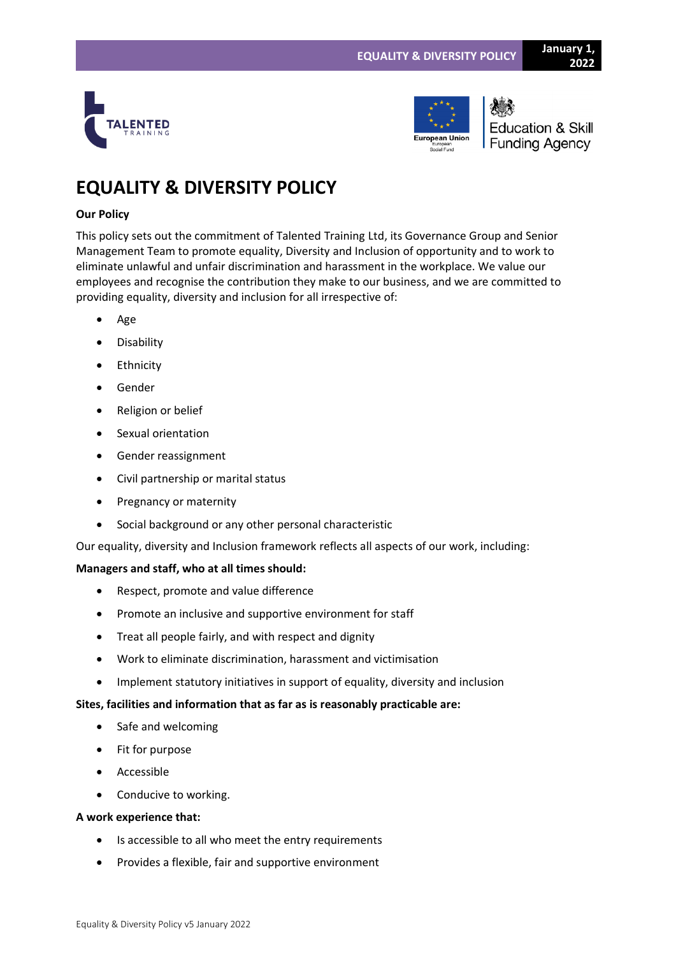



**Education & Skill Funding Agency** 

# **EQUALITY & DIVERSITY POLICY**

# **Our Policy**

This policy sets out the commitment of Talented Training Ltd, its Governance Group and Senior Management Team to promote equality, Diversity and Inclusion of opportunity and to work to eliminate unlawful and unfair discrimination and harassment in the workplace. We value our employees and recognise the contribution they make to our business, and we are committed to providing equality, diversity and inclusion for all irrespective of:

- Age
- Disability
- Ethnicity
- Gender
- Religion or belief
- Sexual orientation
- Gender reassignment
- Civil partnership or marital status
- Pregnancy or maternity
- Social background or any other personal characteristic

Our equality, diversity and Inclusion framework reflects all aspects of our work, including:

# **Managers and staff, who at all times should:**

- Respect, promote and value difference
- Promote an inclusive and supportive environment for staff
- Treat all people fairly, and with respect and dignity
- Work to eliminate discrimination, harassment and victimisation
- Implement statutory initiatives in support of equality, diversity and inclusion

# **Sites, facilities and information that as far as is reasonably practicable are:**

- Safe and welcoming
- Fit for purpose
- Accessible
- Conducive to working.

## **A work experience that:**

- Is accessible to all who meet the entry requirements
- Provides a flexible, fair and supportive environment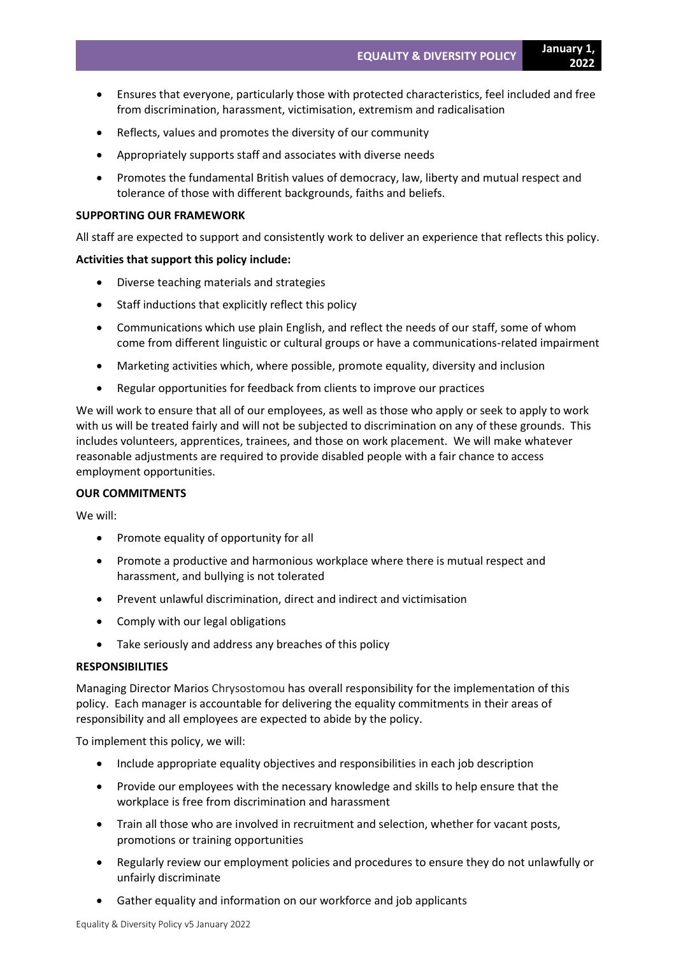- Ensures that everyone, particularly those with protected characteristics, feel included and free from discrimination, harassment, victimisation, extremism and radicalisation
- Reflects, values and promotes the diversity of our community
- Appropriately supports staff and associates with diverse needs
- Promotes the fundamental British values of democracy, law, liberty and mutual respect and tolerance of those with different backgrounds, faiths and beliefs.

#### **SUPPORTING OUR FRAMEWORK**

All staff are expected to support and consistently work to deliver an experience that reflects this policy.

#### **Activities that support this policy include:**

- Diverse teaching materials and strategies
- Staff inductions that explicitly reflect this policy
- Communications which use plain English, and reflect the needs of our staff, some of whom come from different linguistic or cultural groups or have a communications-related impairment
- Marketing activities which, where possible, promote equality, diversity and inclusion
- Regular opportunities for feedback from clients to improve our practices

We will work to ensure that all of our employees, as well as those who apply or seek to apply to work with us will be treated fairly and will not be subjected to discrimination on any of these grounds. This includes volunteers, apprentices, trainees, and those on work placement. We will make whatever reasonable adjustments are required to provide disabled people with a fair chance to access employment opportunities.

### **OUR COMMITMENTS**

We will:

- Promote equality of opportunity for all
- Promote a productive and harmonious workplace where there is mutual respect and harassment, and bullying is not tolerated
- Prevent unlawful discrimination, direct and indirect and victimisation
- Comply with our legal obligations
- Take seriously and address any breaches of this policy

#### **RESPONSIBILITIES**

Managing Director Marios Chrysostomou has overall responsibility for the implementation of this policy. Each manager is accountable for delivering the equality commitments in their areas of responsibility and all employees are expected to abide by the policy.

To implement this policy, we will:

- Include appropriate equality objectives and responsibilities in each job description
- Provide our employees with the necessary knowledge and skills to help ensure that the workplace is free from discrimination and harassment
- Train all those who are involved in recruitment and selection, whether for vacant posts, promotions or training opportunities
- Regularly review our employment policies and procedures to ensure they do not unlawfully or unfairly discriminate
- Gather equality and information on our workforce and job applicants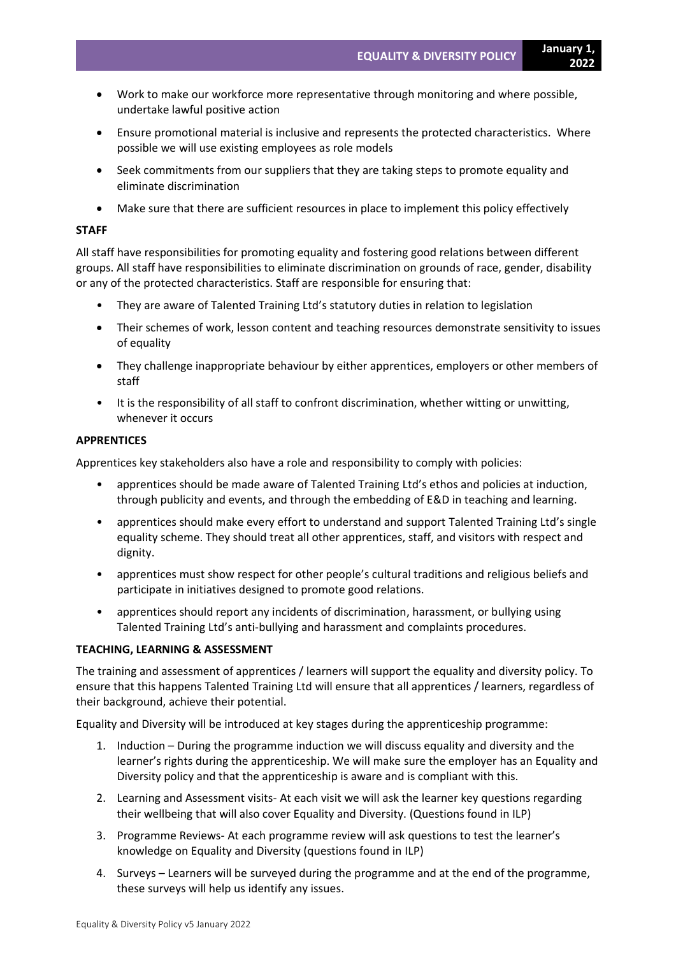- Work to make our workforce more representative through monitoring and where possible, undertake lawful positive action
- Ensure promotional material is inclusive and represents the protected characteristics. Where possible we will use existing employees as role models
- Seek commitments from our suppliers that they are taking steps to promote equality and eliminate discrimination
- Make sure that there are sufficient resources in place to implement this policy effectively

#### **STAFF**

All staff have responsibilities for promoting equality and fostering good relations between different groups. All staff have responsibilities to eliminate discrimination on grounds of race, gender, disability or any of the protected characteristics. Staff are responsible for ensuring that:

- They are aware of Talented Training Ltd's statutory duties in relation to legislation
- Their schemes of work, lesson content and teaching resources demonstrate sensitivity to issues of equality
- They challenge inappropriate behaviour by either apprentices, employers or other members of staff
- It is the responsibility of all staff to confront discrimination, whether witting or unwitting, whenever it occurs

## **APPRENTICES**

Apprentices key stakeholders also have a role and responsibility to comply with policies:

- apprentices should be made aware of Talented Training Ltd's ethos and policies at induction, through publicity and events, and through the embedding of E&D in teaching and learning.
- apprentices should make every effort to understand and support Talented Training Ltd's single equality scheme. They should treat all other apprentices, staff, and visitors with respect and dignity.
- apprentices must show respect for other people's cultural traditions and religious beliefs and participate in initiatives designed to promote good relations.
- apprentices should report any incidents of discrimination, harassment, or bullying using Talented Training Ltd's anti-bullying and harassment and complaints procedures.

## **TEACHING, LEARNING & ASSESSMENT**

The training and assessment of apprentices / learners will support the equality and diversity policy. To ensure that this happens Talented Training Ltd will ensure that all apprentices / learners, regardless of their background, achieve their potential.

Equality and Diversity will be introduced at key stages during the apprenticeship programme:

- 1. Induction During the programme induction we will discuss equality and diversity and the learner's rights during the apprenticeship. We will make sure the employer has an Equality and Diversity policy and that the apprenticeship is aware and is compliant with this.
- 2. Learning and Assessment visits- At each visit we will ask the learner key questions regarding their wellbeing that will also cover Equality and Diversity. (Questions found in ILP)
- 3. Programme Reviews- At each programme review will ask questions to test the learner's knowledge on Equality and Diversity (questions found in ILP)
- 4. Surveys Learners will be surveyed during the programme and at the end of the programme, these surveys will help us identify any issues.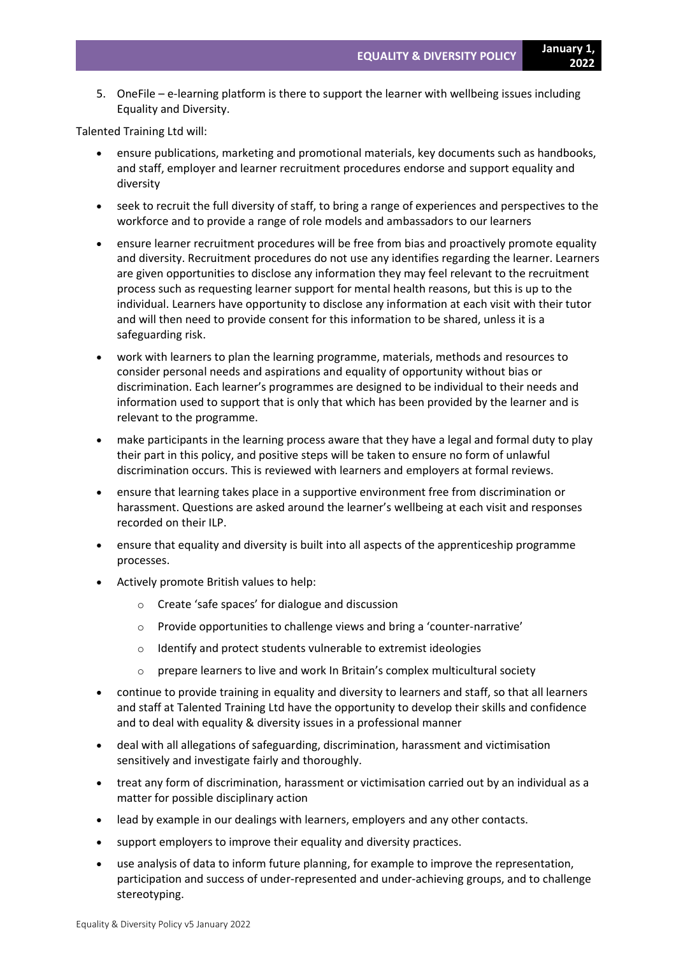**2022**

5. OneFile – e-learning platform is there to support the learner with wellbeing issues including Equality and Diversity.

Talented Training Ltd will:

- ensure publications, marketing and promotional materials, key documents such as handbooks, and staff, employer and learner recruitment procedures endorse and support equality and diversity
- seek to recruit the full diversity of staff, to bring a range of experiences and perspectives to the workforce and to provide a range of role models and ambassadors to our learners
- ensure learner recruitment procedures will be free from bias and proactively promote equality and diversity. Recruitment procedures do not use any identifies regarding the learner. Learners are given opportunities to disclose any information they may feel relevant to the recruitment process such as requesting learner support for mental health reasons, but this is up to the individual. Learners have opportunity to disclose any information at each visit with their tutor and will then need to provide consent for this information to be shared, unless it is a safeguarding risk.
- work with learners to plan the learning programme, materials, methods and resources to consider personal needs and aspirations and equality of opportunity without bias or discrimination. Each learner's programmes are designed to be individual to their needs and information used to support that is only that which has been provided by the learner and is relevant to the programme.
- make participants in the learning process aware that they have a legal and formal duty to play their part in this policy, and positive steps will be taken to ensure no form of unlawful discrimination occurs. This is reviewed with learners and employers at formal reviews.
- ensure that learning takes place in a supportive environment free from discrimination or harassment. Questions are asked around the learner's wellbeing at each visit and responses recorded on their ILP.
- ensure that equality and diversity is built into all aspects of the apprenticeship programme processes.
- Actively promote British values to help:
	- o Create 'safe spaces' for dialogue and discussion
	- o Provide opportunities to challenge views and bring a 'counter-narrative'
	- o Identify and protect students vulnerable to extremist ideologies
	- o prepare learners to live and work In Britain's complex multicultural society
- continue to provide training in equality and diversity to learners and staff, so that all learners and staff at Talented Training Ltd have the opportunity to develop their skills and confidence and to deal with equality & diversity issues in a professional manner
- deal with all allegations of safeguarding, discrimination, harassment and victimisation sensitively and investigate fairly and thoroughly.
- treat any form of discrimination, harassment or victimisation carried out by an individual as a matter for possible disciplinary action
- lead by example in our dealings with learners, employers and any other contacts.
- support employers to improve their equality and diversity practices.
- use analysis of data to inform future planning, for example to improve the representation, participation and success of under-represented and under-achieving groups, and to challenge stereotyping.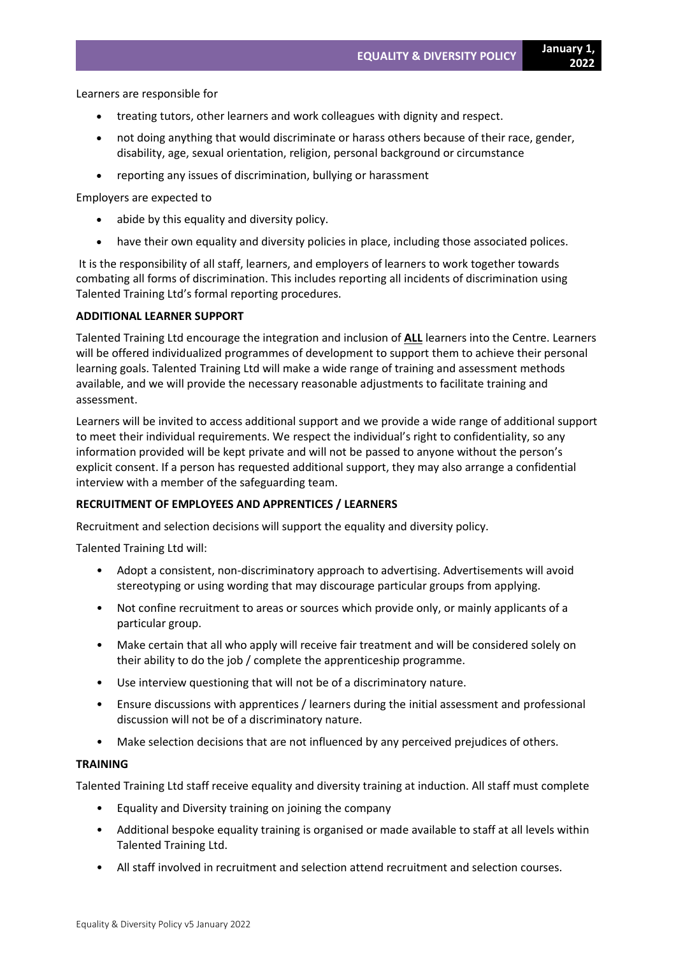**2022**

- treating tutors, other learners and work colleagues with dignity and respect.
- not doing anything that would discriminate or harass others because of their race, gender, disability, age, sexual orientation, religion, personal background or circumstance
- reporting any issues of discrimination, bullying or harassment

Employers are expected to

- abide by this equality and diversity policy.
- have their own equality and diversity policies in place, including those associated polices.

It is the responsibility of all staff, learners, and employers of learners to work together towards combating all forms of discrimination. This includes reporting all incidents of discrimination using Talented Training Ltd's formal reporting procedures.

## **ADDITIONAL LEARNER SUPPORT**

Talented Training Ltd encourage the integration and inclusion of **ALL** learners into the Centre. Learners will be offered individualized programmes of development to support them to achieve their personal learning goals. Talented Training Ltd will make a wide range of training and assessment methods available, and we will provide the necessary reasonable adjustments to facilitate training and assessment.

Learners will be invited to access additional support and we provide a wide range of additional support to meet their individual requirements. We respect the individual's right to confidentiality, so any information provided will be kept private and will not be passed to anyone without the person's explicit consent. If a person has requested additional support, they may also arrange a confidential interview with a member of the safeguarding team.

## **RECRUITMENT OF EMPLOYEES AND APPRENTICES / LEARNERS**

Recruitment and selection decisions will support the equality and diversity policy.

Talented Training Ltd will:

- Adopt a consistent, non-discriminatory approach to advertising. Advertisements will avoid stereotyping or using wording that may discourage particular groups from applying.
- Not confine recruitment to areas or sources which provide only, or mainly applicants of a particular group.
- Make certain that all who apply will receive fair treatment and will be considered solely on their ability to do the job / complete the apprenticeship programme.
- Use interview questioning that will not be of a discriminatory nature.
- Ensure discussions with apprentices / learners during the initial assessment and professional discussion will not be of a discriminatory nature.
- Make selection decisions that are not influenced by any perceived prejudices of others.

#### **TRAINING**

Talented Training Ltd staff receive equality and diversity training at induction. All staff must complete

- Equality and Diversity training on joining the company
- Additional bespoke equality training is organised or made available to staff at all levels within Talented Training Ltd.
- All staff involved in recruitment and selection attend recruitment and selection courses.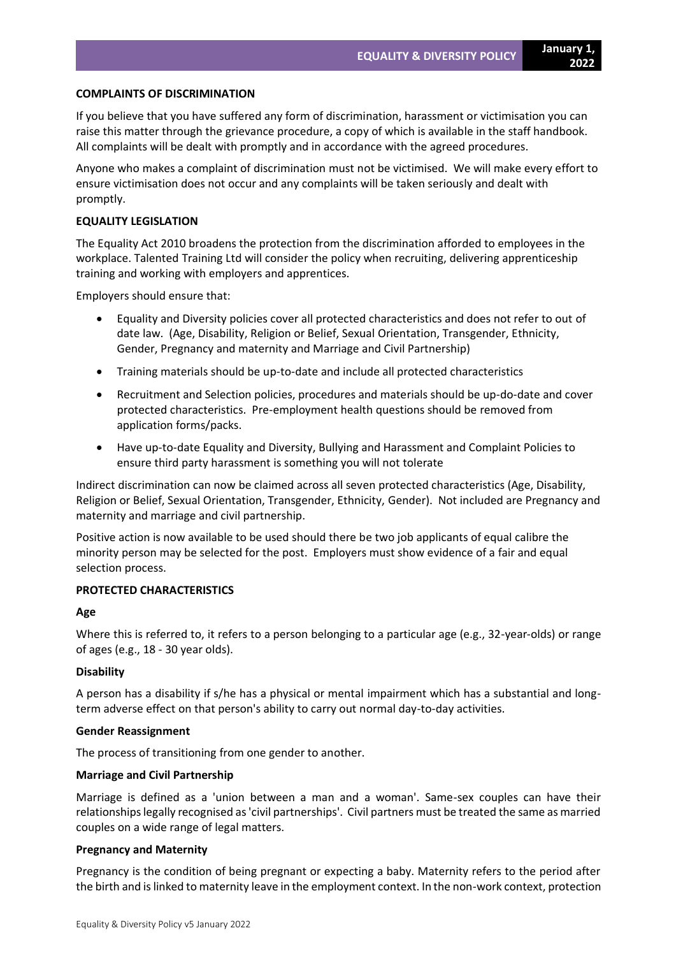**2022**

## **COMPLAINTS OF DISCRIMINATION**

If you believe that you have suffered any form of discrimination, harassment or victimisation you can raise this matter through the grievance procedure, a copy of which is available in the staff handbook. All complaints will be dealt with promptly and in accordance with the agreed procedures.

Anyone who makes a complaint of discrimination must not be victimised. We will make every effort to ensure victimisation does not occur and any complaints will be taken seriously and dealt with promptly.

## **EQUALITY LEGISLATION**

The Equality Act 2010 broadens the protection from the discrimination afforded to employees in the workplace. Talented Training Ltd will consider the policy when recruiting, delivering apprenticeship training and working with employers and apprentices.

Employers should ensure that:

- Equality and Diversity policies cover all protected characteristics and does not refer to out of date law. (Age, Disability, Religion or Belief, Sexual Orientation, Transgender, Ethnicity, Gender, Pregnancy and maternity and Marriage and Civil Partnership)
- Training materials should be up-to-date and include all protected characteristics
- Recruitment and Selection policies, procedures and materials should be up-do-date and cover protected characteristics. Pre-employment health questions should be removed from application forms/packs.
- Have up-to-date Equality and Diversity, Bullying and Harassment and Complaint Policies to ensure third party harassment is something you will not tolerate

Indirect discrimination can now be claimed across all seven protected characteristics (Age, Disability, Religion or Belief, Sexual Orientation, Transgender, Ethnicity, Gender). Not included are Pregnancy and maternity and marriage and civil partnership.

Positive action is now available to be used should there be two job applicants of equal calibre the minority person may be selected for the post. Employers must show evidence of a fair and equal selection process.

## **PROTECTED CHARACTERISTICS**

#### **Age**

Where this is referred to, it refers to a person belonging to a particular age (e.g., 32-year-olds) or range of ages (e.g., 18 - 30 year olds).

## **Disability**

A person has a disability if s/he has a physical or mental impairment which has a substantial and longterm adverse effect on that person's ability to carry out normal day-to-day activities.

#### **Gender Reassignment**

The process of transitioning from one gender to another.

## **Marriage and Civil Partnership**

Marriage is defined as a 'union between a man and a woman'. Same-sex couples can have their relationships legally recognised as 'civil partnerships'. Civil partners must be treated the same as married couples on a wide range of legal matters.

## **Pregnancy and Maternity**

Pregnancy is the condition of being pregnant or expecting a baby. Maternity refers to the period after the birth and is linked to maternity leave in the employment context. In the non-work context, protection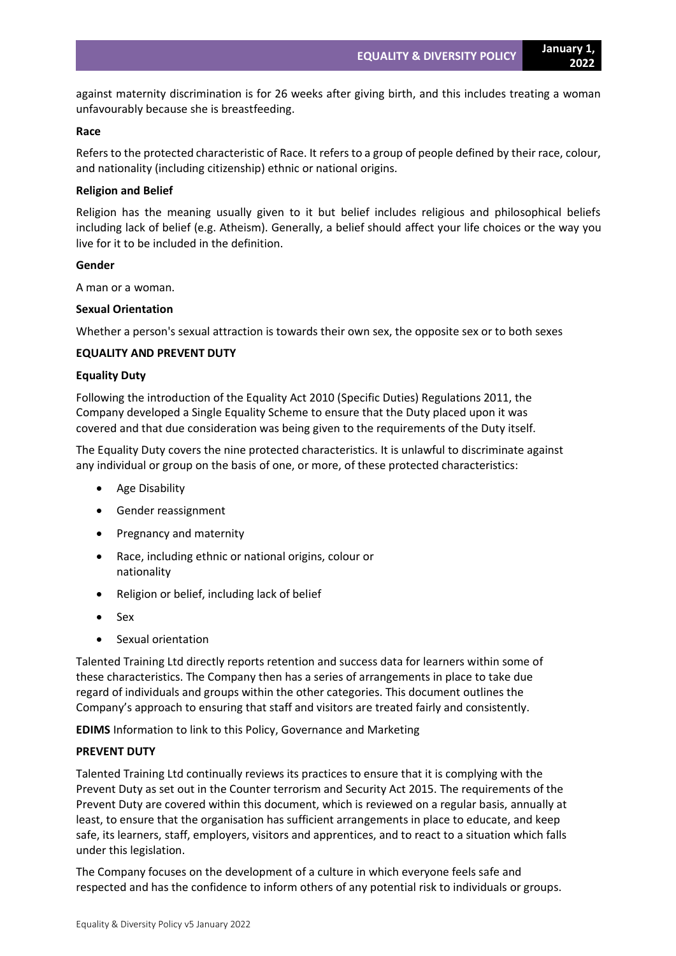against maternity discrimination is for 26 weeks after giving birth, and this includes treating a woman unfavourably because she is breastfeeding.

### **Race**

Refers to the protected characteristic of Race. It refers to a group of people defined by their race, colour, and nationality (including citizenship) ethnic or national origins.

#### **Religion and Belief**

Religion has the meaning usually given to it but belief includes religious and philosophical beliefs including lack of belief (e.g. Atheism). Generally, a belief should affect your life choices or the way you live for it to be included in the definition.

#### **Gender**

A man or a woman.

#### **Sexual Orientation**

Whether a person's sexual attraction is towards their own sex, the opposite sex or to both sexes

#### **EQUALITY AND PREVENT DUTY**

#### **Equality Duty**

Following the introduction of the Equality Act 2010 (Specific Duties) Regulations 2011, the Company developed a Single Equality Scheme to ensure that the Duty placed upon it was covered and that due consideration was being given to the requirements of the Duty itself.

The Equality Duty covers the nine protected characteristics. It is unlawful to discriminate against any individual or group on the basis of one, or more, of these protected characteristics:

- Age Disability
- Gender reassignment
- Pregnancy and maternity
- Race, including ethnic or national origins, colour or nationality
- Religion or belief, including lack of belief
- Sex
- Sexual orientation

Talented Training Ltd directly reports retention and success data for learners within some of these characteristics. The Company then has a series of arrangements in place to take due regard of individuals and groups within the other categories. This document outlines the Company's approach to ensuring that staff and visitors are treated fairly and consistently.

**EDIMS** Information to link to this Policy, Governance and Marketing

#### **PREVENT DUTY**

Talented Training Ltd continually reviews its practices to ensure that it is complying with the Prevent Duty as set out in the Counter terrorism and Security Act 2015. The requirements of the Prevent Duty are covered within this document, which is reviewed on a regular basis, annually at least, to ensure that the organisation has sufficient arrangements in place to educate, and keep safe, its learners, staff, employers, visitors and apprentices, and to react to a situation which falls under this legislation.

The Company focuses on the development of a culture in which everyone feels safe and respected and has the confidence to inform others of any potential risk to individuals or groups.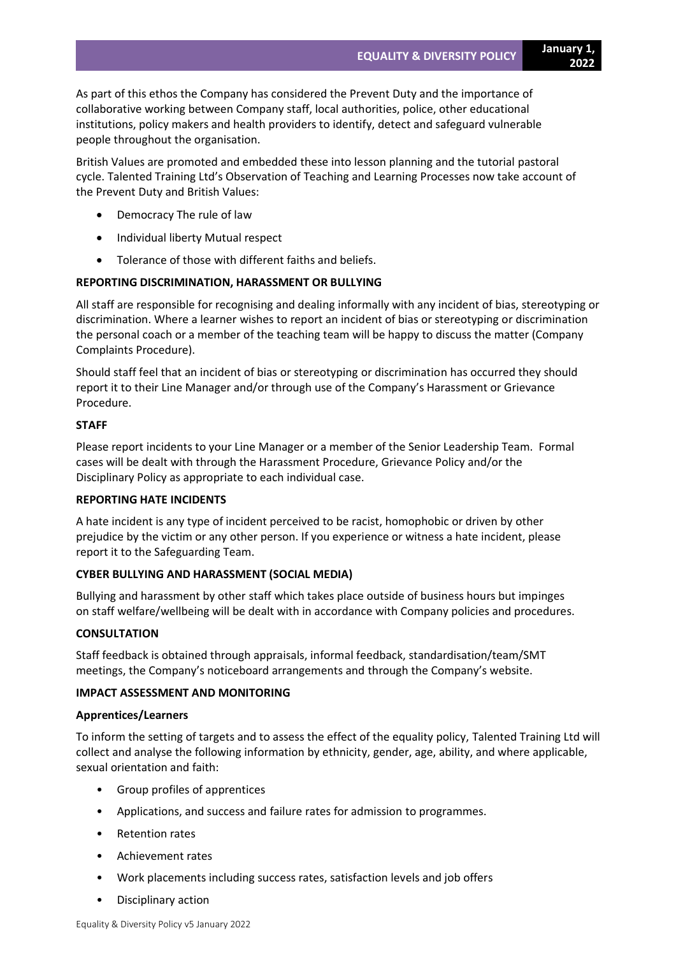As part of this ethos the Company has considered the Prevent Duty and the importance of collaborative working between Company staff, local authorities, police, other educational institutions, policy makers and health providers to identify, detect and safeguard vulnerable people throughout the organisation.

British Values are promoted and embedded these into lesson planning and the tutorial pastoral cycle. Talented Training Ltd's Observation of Teaching and Learning Processes now take account of the Prevent Duty and British Values:

- Democracy The rule of law
- Individual liberty Mutual respect
- Tolerance of those with different faiths and beliefs.

# **REPORTING DISCRIMINATION, HARASSMENT OR BULLYING**

All staff are responsible for recognising and dealing informally with any incident of bias, stereotyping or discrimination. Where a learner wishes to report an incident of bias or stereotyping or discrimination the personal coach or a member of the teaching team will be happy to discuss the matter (Company Complaints Procedure).

Should staff feel that an incident of bias or stereotyping or discrimination has occurred they should report it to their Line Manager and/or through use of the Company's Harassment or Grievance Procedure.

## **STAFF**

Please report incidents to your Line Manager or a member of the Senior Leadership Team. Formal cases will be dealt with through the Harassment Procedure, Grievance Policy and/or the Disciplinary Policy as appropriate to each individual case.

## **REPORTING HATE INCIDENTS**

A hate incident is any type of incident perceived to be racist, homophobic or driven by other prejudice by the victim or any other person. If you experience or witness a hate incident, please report it to the Safeguarding Team.

## **CYBER BULLYING AND HARASSMENT (SOCIAL MEDIA)**

Bullying and harassment by other staff which takes place outside of business hours but impinges on staff welfare/wellbeing will be dealt with in accordance with Company policies and procedures.

## **CONSULTATION**

Staff feedback is obtained through appraisals, informal feedback, standardisation/team/SMT meetings, the Company's noticeboard arrangements and through the Company's website.

## **IMPACT ASSESSMENT AND MONITORING**

#### **Apprentices/Learners**

To inform the setting of targets and to assess the effect of the equality policy, Talented Training Ltd will collect and analyse the following information by ethnicity, gender, age, ability, and where applicable, sexual orientation and faith:

- Group profiles of apprentices
- Applications, and success and failure rates for admission to programmes.
- Retention rates
- Achievement rates
- Work placements including success rates, satisfaction levels and job offers
- Disciplinary action